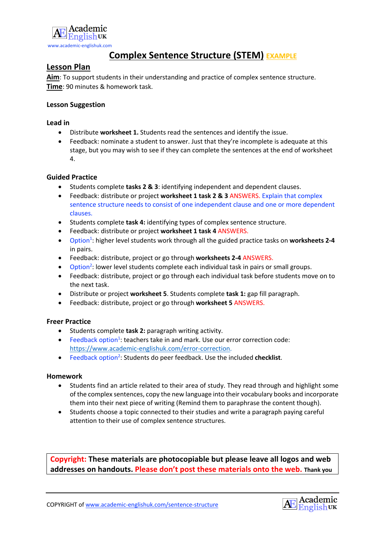

# **Complex Sentence Structure (STEM) EXAMPLE**

# **Lesson Plan**

**Aim**: To support students in their understanding and practice of complex sentence structure. **Time**: 90 minutes & homework task.

### **Lesson Suggestion**

### **Lead in**

- Distribute **worksheet 1.** Students read the sentences and identify the issue.
- Feedback: nominate a student to answer. Just that they're incomplete is adequate at this stage, but you may wish to see if they can complete the sentences at the end of worksheet 4.

### **Guided Practice**

- Students complete **tasks 2 & 3**: identifying independent and dependent clauses.
- Feedback: distribute or project **worksheet 1 task 2 & 3** ANSWERS. Explain that complex sentence structure needs to consist of one independent clause and one or more dependent clauses.
- Students complete **task 4:** identifying types of complex sentence structure.
- Feedback: distribute or project **worksheet 1 task 4** ANSWERS.
- **•** Option<sup>1</sup>: higher level students work through all the guided practice tasks on worksheets 2-4 in pairs.
- Feedback: distribute, project or go through **worksheets 2-4** ANSWERS.
- Option<sup>2</sup>: lower level students complete each individual task in pairs or small groups.
- Feedback: distribute, project or go through each individual task before students move on to the next task.
- Distribute or project **worksheet 5**. Students complete **task 1:** gap fill paragraph.
- Feedback: distribute, project or go through **worksheet 5** ANSWERS.

### **Freer Practice**

- Students complete **task 2:** paragraph writing activity.
- Feedback option<sup>1</sup>: teachers take in and mark. Use our error correction code: https://www.academic-englishuk.com/error-correction.
- **•** Feedback option<sup>2</sup>: Students do peer feedback. Use the included checklist.

### **Homework**

- Students find an article related to their area of study. They read through and highlight some of the complex sentences, copy the new language into their vocabulary books and incorporate them into their next piece of writing (Remind them to paraphrase the content though).
- Students choose a topic connected to their studies and write a paragraph paying careful attention to their use of complex sentence structures.

**Copyright: These materials are photocopiable but please leave all logos and web addresses on handouts. Please don't post these materials onto the web. Thank you**

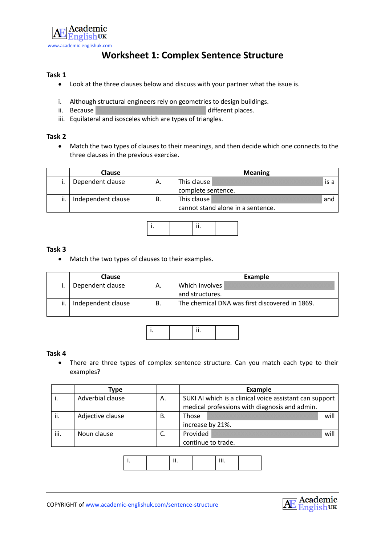

# **Worksheet 1: Complex Sentence Structure**

### **Task 1**

- Look at the three clauses below and discuss with your partner what the issue is.
- i. Although structural engineers rely on geometries to design buildings.
- ii. Because XXXXXXXXXXXXXXXXXXXXXXXXXXXXXX different places.
- iii. Equilateral and isosceles which are types of triangles.

#### **Task 2**

• Match the two types of clauses to their meanings, and then decide which one connects to the three clauses in the previous exercise.

|     | <b>Clause</b>      |    | <b>Meaning</b>                    |  |  |
|-----|--------------------|----|-----------------------------------|--|--|
|     | Dependent clause   | Α. | This clause<br>is a               |  |  |
|     |                    |    | complete sentence.                |  |  |
| ii. | Independent clause | В. | This clause<br>and                |  |  |
|     |                    |    | cannot stand alone in a sentence. |  |  |



#### **Task 3**

• Match the two types of clauses to their examples.

|     | <b>Clause</b>      |    | <b>Example</b>                                 |  |  |
|-----|--------------------|----|------------------------------------------------|--|--|
|     | Dependent clause   | Α. | Which involves<br>and structures.              |  |  |
| ji. | Independent clause | В. | The chemical DNA was first discovered in 1869. |  |  |



#### **Task 4**

• There are three types of complex sentence structure. Can you match each type to their examples?

|      | Type             |    | Example                                                                                                  |  |      |  |
|------|------------------|----|----------------------------------------------------------------------------------------------------------|--|------|--|
| . .  | Adverbial clause | Α. | SUKI AI which is a clinical voice assistant can support<br>medical professions with diagnosis and admin. |  |      |  |
| ii.  | Adjective clause | В. | Those                                                                                                    |  | will |  |
|      |                  |    | increase by 21%.                                                                                         |  |      |  |
| iii. | Noun clause      | J. | Provided                                                                                                 |  | will |  |
|      |                  |    | continue to trade.                                                                                       |  |      |  |

|--|--|--|

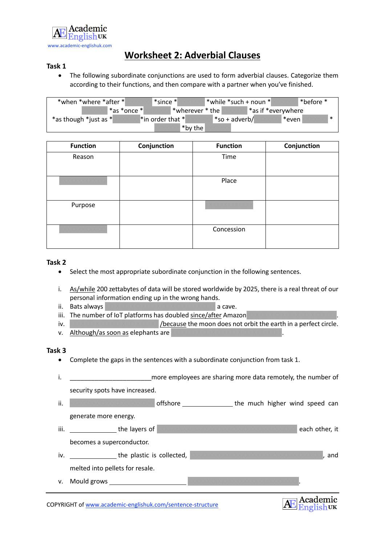

# **Worksheet 2: Adverbial Clauses**

#### **Task 1**

• The following subordinate conjunctions are used to form adverbial clauses. Categorize them according to their functions, and then compare with a partner when you've finished.

| *when *where *after */ | $*$ since $*$                               | l *while *such + noun *l | *before *          |
|------------------------|---------------------------------------------|--------------------------|--------------------|
| *as *once *            | $_1$ *wherever * the $\mathord{\mathsf{I}}$ |                          | *as if *everywhere |
| *as though *just as *  | $\mathbb{I}^*$ in order that $\mathbb{I}$   | *so + adverb/            | *even*             |
|                        | *by the                                     |                          |                    |

| <b>Function</b> | Conjunction | <b>Function</b> | Conjunction |
|-----------------|-------------|-----------------|-------------|
| Reason          |             | Time            |             |
|                 |             | Place           |             |
| Purpose         |             |                 |             |
|                 |             | Concession      |             |

#### **Task 2**

- Select the most appropriate subordinate conjunction in the following sentences.
- i. As/while 200 zettabytes of data will be stored worldwide by 2025, there is a real threat of our personal information ending up in the wrong hands.
- ii. Bats always XXXXXXXXXXXXXXXXXXXXXXXXXXXXX a cave.
- iii. The number of IoT platforms has doubled since/after Amazon
- iv. XXXXXXXXXXXXXXXXXXXXXXXX /because the moon does not orbit the earth in a perfect circle.
- v. Although/as soon as elephants are

#### **Task 3**

- Complete the gaps in the sentences with a subordinate conjunction from task 1.
- i. **Example 20** more employees are sharing more data remotely, the number of security spots have increased.
- ii. XXXXXXXXXXXXXXXXXXXXXXX offshore the much higher wind speed can generate more energy. iii. the layers of XXXXXXXXXXXXXXXXXXXXXXXXXXXXXXXXXXXXXX each other, it becomes a superconductor.
- iv. the plastic is collected, XXXXXXXXXXXXXXXXXXXXXXXXXXXXXXXXXXXX, and melted into pellets for resale.
- v. Mould grows

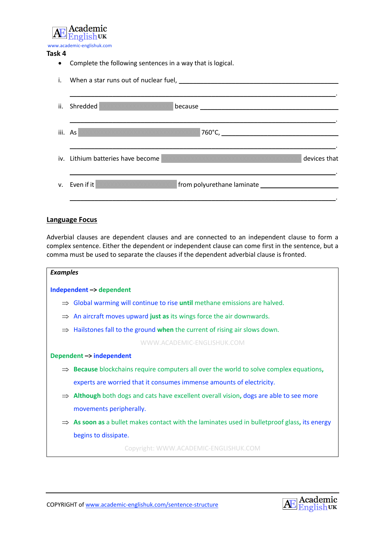

#### **Task 4**

• Complete the following sentences in a way that is logical.

| ii.     | Shredded                                          |
|---------|---------------------------------------------------|
| iii. As |                                                   |
|         | iv. Lithium batteries have become<br>devices that |
| V.      | Even if it                                        |

#### **Language Focus**

Adverbial clauses are dependent clauses and are connected to an independent clause to form a complex sentence. Either the dependent or independent clause can come first in the sentence, but a comma must be used to separate the clauses if the dependent adverbial clause is fronted.



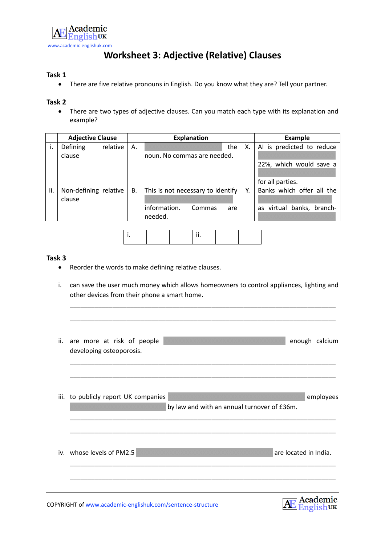

# **Worksheet 3: Adjective (Relative) Clauses**

# **Task 1**

• There are five relative pronouns in English. Do you know what they are? Tell your partner.

#### **Task 2**

• There are two types of adjective clauses. Can you match each type with its explanation and example?

|     | <b>Adjective Clause</b> |          |           | <b>Explanation</b>                |    | <b>Example</b>            |
|-----|-------------------------|----------|-----------|-----------------------------------|----|---------------------------|
| ۱.  | Defining                | relative | А.        | the                               | Χ. | AI is predicted to reduce |
|     | clause                  |          |           | noun. No commas are needed.       |    |                           |
|     |                         |          |           |                                   |    | 22%, which would save a   |
|     |                         |          |           |                                   |    |                           |
|     |                         |          |           |                                   |    | for all parties.          |
| ii. | Non-defining relative   |          | <b>B.</b> | This is not necessary to identify | Υ. | Banks which offer all the |
|     | clause                  |          |           |                                   |    |                           |
|     |                         |          |           | information.<br>Commas<br>are     |    | as virtual banks, branch- |
|     |                         |          |           | needed.                           |    |                           |
|     |                         |          |           |                                   |    |                           |

|--|

#### **Task 3**

- Reorder the words to make defining relative clauses.
- i. can save the user much money which allows homeowners to control appliances, lighting and other devices from their phone a smart home.

\_\_\_\_\_\_\_\_\_\_\_\_\_\_\_\_\_\_\_\_\_\_\_\_\_\_\_\_\_\_\_\_\_\_\_\_\_\_\_\_\_\_\_\_\_\_\_\_\_\_\_\_\_\_\_\_\_\_\_\_\_\_\_\_\_\_\_\_\_\_\_\_\_\_\_

\_\_\_\_\_\_\_\_\_\_\_\_\_\_\_\_\_\_\_\_\_\_\_\_\_\_\_\_\_\_\_\_\_\_\_\_\_\_\_\_\_\_\_\_\_\_\_\_\_\_\_\_\_\_\_\_\_\_\_\_\_\_\_\_\_\_\_\_\_\_\_\_\_\_\_

| ii. | are more at risk of people<br>developing osteoporosis. |                                             | enough calcium                                                                                                                                                                                                                                                                                                                                                                                                                                                                  |
|-----|--------------------------------------------------------|---------------------------------------------|---------------------------------------------------------------------------------------------------------------------------------------------------------------------------------------------------------------------------------------------------------------------------------------------------------------------------------------------------------------------------------------------------------------------------------------------------------------------------------|
|     | iii. to publicly report UK companies                   | by law and with an annual turnover of £36m. | employees                                                                                                                                                                                                                                                                                                                                                                                                                                                                       |
|     | iv. whose levels of PM2.5                              |                                             | are located in India.                                                                                                                                                                                                                                                                                                                                                                                                                                                           |
|     |                                                        |                                             | $\overline{\phantom{a}}$ $\overline{\phantom{a}}$ $\overline{\phantom{a}}$ $\overline{\phantom{a}}$ $\overline{\phantom{a}}$ $\overline{\phantom{a}}$ $\overline{\phantom{a}}$ $\overline{\phantom{a}}$ $\overline{\phantom{a}}$ $\overline{\phantom{a}}$ $\overline{\phantom{a}}$ $\overline{\phantom{a}}$ $\overline{\phantom{a}}$ $\overline{\phantom{a}}$ $\overline{\phantom{a}}$ $\overline{\phantom{a}}$ $\overline{\phantom{a}}$ $\overline{\phantom{a}}$ $\overline{\$ |



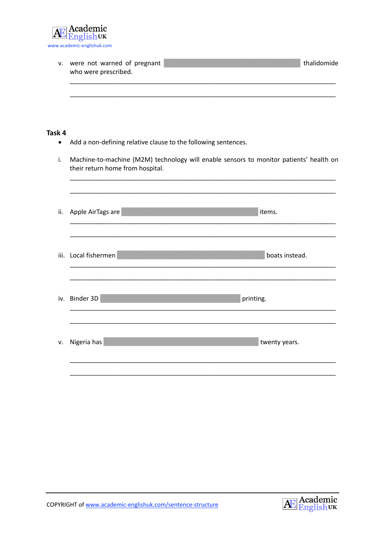

| v.                  | were not warned of pregnant<br>who were prescribed.                                                                        | thalidomide |
|---------------------|----------------------------------------------------------------------------------------------------------------------------|-------------|
| Task 4<br>$\bullet$ | Add a non-defining relative clause to the following sentences.                                                             |             |
| i.                  | Machine-to-machine (M2M) technology will enable sensors to monitor patients' health on<br>their return home from hospital. |             |
| ii.                 | items.<br>Apple AirTags are                                                                                                |             |
|                     | boats instead.<br>iii. Local fishermen                                                                                     |             |
|                     | iv. Binder 3D<br>printing.                                                                                                 |             |
| v.                  | Nigeria has<br>twenty years.                                                                                               |             |

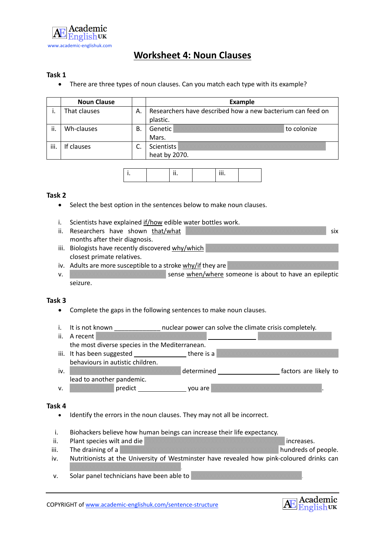

# **Worksheet 4: Noun Clauses**

### **Task 1**

• There are three types of noun clauses. Can you match each type with its example?

|      | <b>Noun Clause</b> |    | <b>Example</b>                                                         |             |  |
|------|--------------------|----|------------------------------------------------------------------------|-------------|--|
|      | That clauses       | Α. | Researchers have described how a new bacterium can feed on<br>plastic. |             |  |
| ji.  | Wh-clauses         | В. | Genetic<br>Mars.                                                       | to colonize |  |
| iii. | If clauses         |    | Scientists<br>heat by 2070.                                            |             |  |

|  |  | $\cdots$ |  |
|--|--|----------|--|
|  |  |          |  |

#### **Task 2**

- Select the best option in the sentences below to make noun clauses.
- i. Scientists have explained if/how edible water bottles work.

| ii. Researchers have shown that/what               | <b>SIX</b> |
|----------------------------------------------------|------------|
| months after their diagnosis.                      |            |
| iii. Biologists have recently discovered why/which |            |

- closest primate relatives.
- iv. Adults are more susceptible to a stroke  $w$ hy/if they are
- v. XXXXXXXXXXXXXXXXXXXXXXXXXXXXXXX sense when/where someone is about to have an epileptic seizure.

### **Task 3**

- Complete the gaps in the following sentences to make noun clauses.
- i. It is not known **inclear power can solve the climate crisis completely.**
- ii. A recent the most diverse species in the Mediterranean. iii. It has been suggested  $\Box$ behaviours in autistic children. iv. XXXXXXXXXXXXXXXXXXXXXXXXXXXXXX determined factors are likely to lead to another pandemic.
- v.  $\sqrt{X}$  v  $\sqrt{X}$  predict  $\sqrt{X}$  you are  $\sqrt{X}$

#### **Task 4**

- Identify the errors in the noun clauses. They may not all be incorrect.
- i. Biohackers believe how human beings can increase their life expectancy.
- ii. Plant species wilt and die XXXXXXXXXXXXXXXXXXXXXXXXXXXXXXXXXXXXXX increases.
- iii. The draining of a XXXXXXXXXXXXXXXXXXXXXXXXXXXXXXXXX hundreds of people.
- iv. Nutritionists at the University of Westminster have revealed how pink-coloured drinks can XXXXXXXXXXXXXXXXXXXXXXXXXXXXXX.
- v. Solar panel technicians have been able to

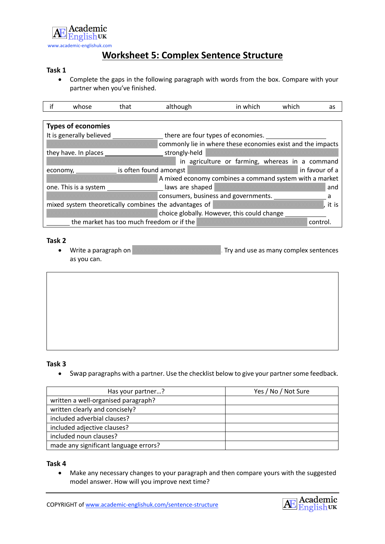

# **Worksheet 5: Complex Sentence Structure**

#### **Task 1**

• Complete the gaps in the following paragraph with words from the box. Compare with your partner when you've finished.

| if | whose                           | that | although                                              |                                    | in which                                    | which | as                                                          |
|----|---------------------------------|------|-------------------------------------------------------|------------------------------------|---------------------------------------------|-------|-------------------------------------------------------------|
|    |                                 |      |                                                       |                                    |                                             |       |                                                             |
|    | <b>Types of economies</b>       |      |                                                       |                                    |                                             |       |                                                             |
|    | It is generally believed        |      |                                                       | there are four types of economies. |                                             |       |                                                             |
|    |                                 |      |                                                       |                                    |                                             |       | commonly lie in where these economies exist and the impacts |
|    | they have. In places            |      | strongly-held                                         |                                    |                                             |       |                                                             |
|    |                                 |      |                                                       |                                    |                                             |       | in agriculture or farming, whereas in a command             |
|    | economy, is often found amongst |      |                                                       |                                    |                                             |       | in favour of a                                              |
|    |                                 |      |                                                       |                                    |                                             |       | A mixed economy combines a command system with a market     |
|    | one. This is a system           |      | laws are shaped                                       |                                    |                                             |       | and                                                         |
|    |                                 |      |                                                       |                                    | consumers, business and governments.        |       |                                                             |
|    |                                 |      | mixed system theoretically combines the advantages of |                                    |                                             |       | it is                                                       |
|    |                                 |      |                                                       |                                    | choice globally. However, this could change |       |                                                             |
|    |                                 |      | the market has too much freedom or if the             |                                    |                                             |       | control                                                     |

#### **Task 2**

• Write a paragraph on XXXXXXXXXXXXXXXXXXXXXXXX. Try and use as many complex sentences as you can.

# **Task 3**

• Swap paragraphs with a partner. Use the checklist below to give your partner some feedback.

| Has your partner?                     | Yes / No / Not Sure |
|---------------------------------------|---------------------|
| written a well-organised paragraph?   |                     |
| written clearly and concisely?        |                     |
| included adverbial clauses?           |                     |
| included adjective clauses?           |                     |
| included noun clauses?                |                     |
| made any significant language errors? |                     |

#### **Task 4**

• Make any necessary changes to your paragraph and then compare yours with the suggested model answer. How will you improve next time?

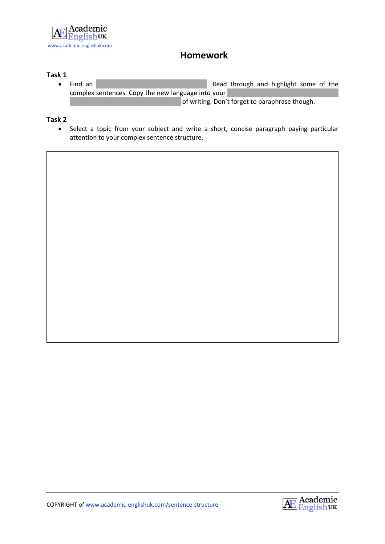

# **Homework**

# **Task 1**

• Find an XXXXXXXXXXXXXXXXXXXXXXXXXXXXXXXXX. Read through and highlight some of the complex sentences. Copy the new language into your of writing. Don't forget to paraphrase though.

### **Task 2**

• Select a topic from your subject and write a short, concise paragraph paying particular attention to your complex sentence structure.